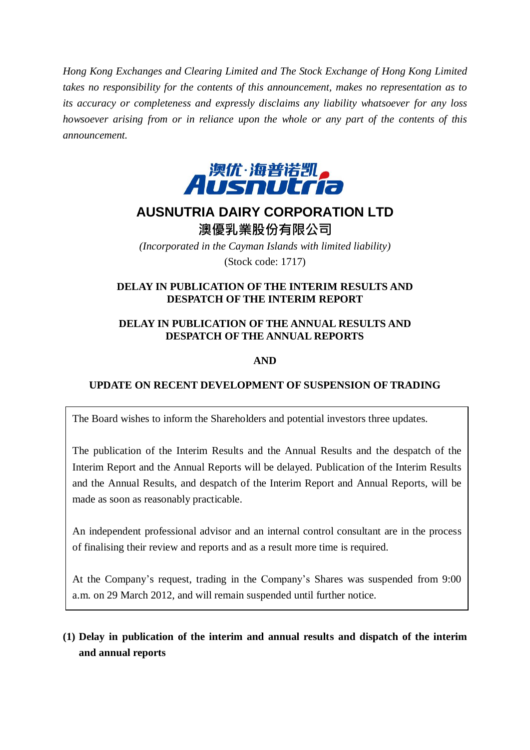*Hong Kong Exchanges and Clearing Limited and The Stock Exchange of Hong Kong Limited takes no responsibility for the contents of this announcement, makes no representation as to its accuracy or completeness and expressly disclaims any liability whatsoever for any loss howsoever arising from or in reliance upon the whole or any part of the contents of this announcement.*



# **AUSNUTRIA DAIRY CORPORATION LTD** 澳優乳業股份有限公司

*(Incorporated in the Cayman Islands with limited liability)* (Stock code: 1717)

### **DELAY IN PUBLICATION OF THE INTERIM RESULTS AND DESPATCH OF THE INTERIM REPORT**

# **DELAY IN PUBLICATION OF THE ANNUAL RESULTS AND DESPATCH OF THE ANNUAL REPORTS**

## **AND**

# **UPDATE ON RECENT DEVELOPMENT OF SUSPENSION OF TRADING**

The Board wishes to inform the Shareholders and potential investors three updates.

The publication of the Interim Results and the Annual Results and the despatch of the Interim Report and the Annual Reports will be delayed. Publication of the Interim Results and the Annual Results, and despatch of the Interim Report and Annual Reports, will be made as soon as reasonably practicable.

An independent professional advisor and an internal control consultant are in the process of finalising their review and reports and as a result more time is required.

At the Company's request, trading in the Company's Shares was suspended from 9:00 a.m. on 29 March 2012, and will remain suspended until further notice.

# **(1) Delay in publication of the interim and annual results and dispatch of the interim and annual reports**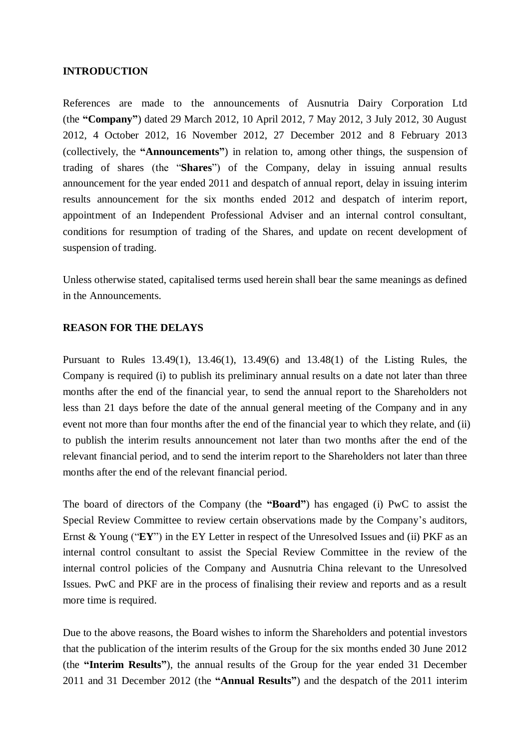#### **INTRODUCTION**

References are made to the announcements of Ausnutria Dairy Corporation Ltd (the **"Company"**) dated 29 March 2012, 10 April 2012, 7 May 2012, 3 July 2012, 30 August 2012, 4 October 2012, 16 November 2012, 27 December 2012 and 8 February 2013 (collectively, the **"Announcements"**) in relation to, among other things, the suspension of trading of shares (the "**Shares**") of the Company, delay in issuing annual results announcement for the year ended 2011 and despatch of annual report, delay in issuing interim results announcement for the six months ended 2012 and despatch of interim report, appointment of an Independent Professional Adviser and an internal control consultant, conditions for resumption of trading of the Shares, and update on recent development of suspension of trading.

Unless otherwise stated, capitalised terms used herein shall bear the same meanings as defined in the Announcements.

#### **REASON FOR THE DELAYS**

Pursuant to Rules 13.49(1), 13.46(1), 13.49(6) and 13.48(1) of the Listing Rules, the Company is required (i) to publish its preliminary annual results on a date not later than three months after the end of the financial year, to send the annual report to the Shareholders not less than 21 days before the date of the annual general meeting of the Company and in any event not more than four months after the end of the financial year to which they relate, and (ii) to publish the interim results announcement not later than two months after the end of the relevant financial period, and to send the interim report to the Shareholders not later than three months after the end of the relevant financial period.

The board of directors of the Company (the **"Board"**) has engaged (i) PwC to assist the Special Review Committee to review certain observations made by the Company's auditors, Ernst & Young ("**EY**") in the EY Letter in respect of the Unresolved Issues and (ii) PKF as an internal control consultant to assist the Special Review Committee in the review of the internal control policies of the Company and Ausnutria China relevant to the Unresolved Issues. PwC and PKF are in the process of finalising their review and reports and as a result more time is required.

Due to the above reasons, the Board wishes to inform the Shareholders and potential investors that the publication of the interim results of the Group for the six months ended 30 June 2012 (the **"Interim Results"**), the annual results of the Group for the year ended 31 December 2011 and 31 December 2012 (the **"Annual Results"**) and the despatch of the 2011 interim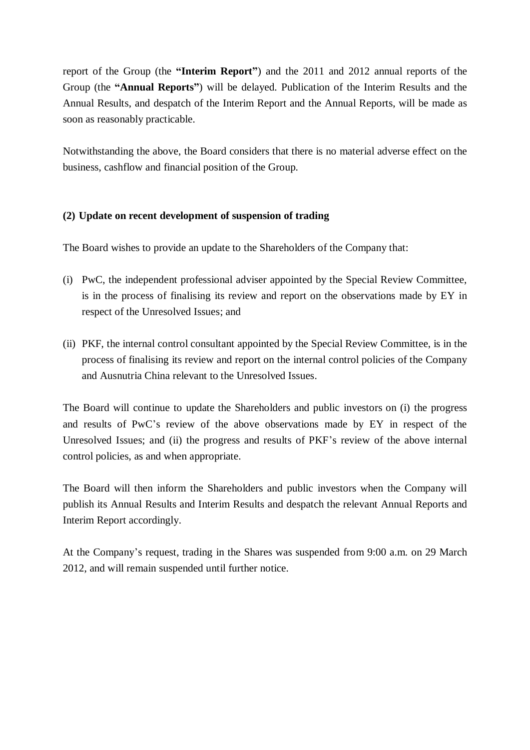report of the Group (the **"Interim Report"**) and the 2011 and 2012 annual reports of the Group (the **"Annual Reports"**) will be delayed. Publication of the Interim Results and the Annual Results, and despatch of the Interim Report and the Annual Reports, will be made as soon as reasonably practicable.

Notwithstanding the above, the Board considers that there is no material adverse effect on the business, cashflow and financial position of the Group.

## **(2) Update on recent development of suspension of trading**

The Board wishes to provide an update to the Shareholders of the Company that:

- (i) PwC, the independent professional adviser appointed by the Special Review Committee, is in the process of finalising its review and report on the observations made by EY in respect of the Unresolved Issues; and
- (ii) PKF, the internal control consultant appointed by the Special Review Committee, is in the process of finalising its review and report on the internal control policies of the Company and Ausnutria China relevant to the Unresolved Issues.

The Board will continue to update the Shareholders and public investors on (i) the progress and results of PwC's review of the above observations made by EY in respect of the Unresolved Issues; and (ii) the progress and results of PKF's review of the above internal control policies, as and when appropriate.

The Board will then inform the Shareholders and public investors when the Company will publish its Annual Results and Interim Results and despatch the relevant Annual Reports and Interim Report accordingly.

At the Company's request, trading in the Shares was suspended from 9:00 a.m. on 29 March 2012, and will remain suspended until further notice.